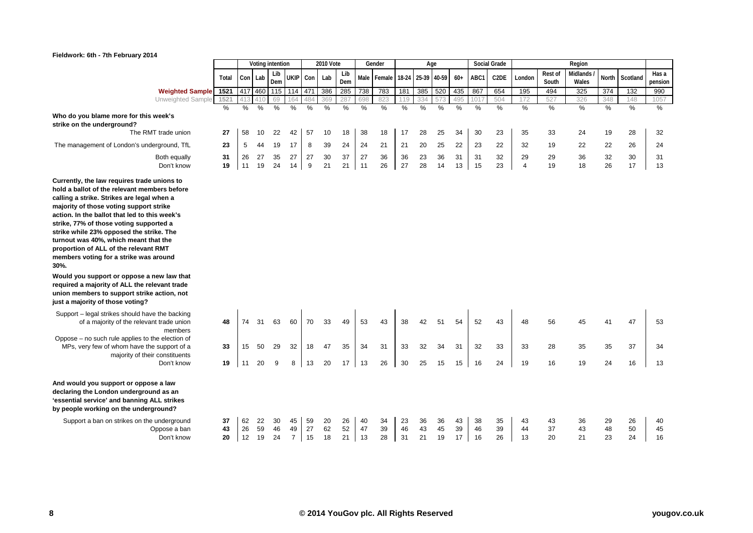|                                                                                                                                                                                                                                                                                                                                                                                                                                                                                                                                                                                                                                                   |                |                |                | Voting intention |                            |                | <b>2010 Vote</b> |                |                | Gender                        |                |                | Age            |                |                | <b>Social Grade</b> |                      |                  | Region            |                |                |                  |
|---------------------------------------------------------------------------------------------------------------------------------------------------------------------------------------------------------------------------------------------------------------------------------------------------------------------------------------------------------------------------------------------------------------------------------------------------------------------------------------------------------------------------------------------------------------------------------------------------------------------------------------------------|----------------|----------------|----------------|------------------|----------------------------|----------------|------------------|----------------|----------------|-------------------------------|----------------|----------------|----------------|----------------|----------------|---------------------|----------------------|------------------|-------------------|----------------|----------------|------------------|
|                                                                                                                                                                                                                                                                                                                                                                                                                                                                                                                                                                                                                                                   | Total          |                | Con Lab        | Lib<br>Dem       | <b>UKIP</b>                | Con            | Lab              | Lib<br>Dem     |                | Male Female 18-24 25-39 40-59 |                |                |                | $60+$          | ABC1           | C <sub>2</sub> DE   | London               | Rest of<br>South | Midlands<br>Wales | <b>North</b>   | Scotland       | Has a<br>pension |
| <b>Weighted Sample</b>                                                                                                                                                                                                                                                                                                                                                                                                                                                                                                                                                                                                                            | 1521           | 417            | 460            | 115              | 114                        | 471            | 386              | 285            | 738            | 783                           | 181            | 385            | 520            | 435            | 867            | 654                 | 195                  | 494              | 325               | 374            | 132            | 990              |
| Unweighted Sample                                                                                                                                                                                                                                                                                                                                                                                                                                                                                                                                                                                                                                 | 1521           |                | 410            | 69               | 164                        | 484            | 369              | 287            | 698            | 823                           | 119            | 334            | 573            | 495            | 101            | 504                 | 172                  | 527              | 326               | 348            | 148            | 1057             |
| Who do you blame more for this week's<br>strike on the underground?                                                                                                                                                                                                                                                                                                                                                                                                                                                                                                                                                                               | %              | %              | %              | %                | %                          | $\frac{0}{2}$  | $\frac{9}{6}$    | %              | $\frac{0}{6}$  | %                             | %              | %              | $\frac{0}{6}$  | $\frac{0}{2}$  | %              | %                   | $\frac{0}{2}$        | %                | %                 | $\frac{0}{2}$  | $\%$           | %                |
| The RMT trade union                                                                                                                                                                                                                                                                                                                                                                                                                                                                                                                                                                                                                               | 27             | 58             | 10             | 22               | 42                         | 57             | 10               | 18             | 38             | 18                            | 17             | 28             | 25             | 34             | 30             | 23                  | 35                   | 33               | 24                | 19             | 28             | 32               |
| The management of London's underground, TfL                                                                                                                                                                                                                                                                                                                                                                                                                                                                                                                                                                                                       | 23             | 5              | 44             | 19               | 17                         | 8              | 39               | 24             | 24             | 21                            | 21             | 20             | 25             | 22             | 23             | 22                  | 32                   | 19               | 22                | 22             | 26             | 24               |
| Both equally<br>Don't know                                                                                                                                                                                                                                                                                                                                                                                                                                                                                                                                                                                                                        | 31<br>19       | 26<br>11       | 27<br>19       | 35<br>24         | 27<br>14                   | 27<br>9        | 30<br>21         | 37<br>21       | 27<br>11       | 36<br>26                      | 36<br>27       | 23<br>28       | 36<br>14       | 31<br>13       | 31<br>15       | 32<br>23            | 29<br>$\overline{4}$ | 29<br>19         | 36<br>18          | 32<br>26       | 30<br>17       | 31<br>13         |
| Currently, the law requires trade unions to<br>hold a ballot of the relevant members before<br>calling a strike. Strikes are legal when a<br>majority of those voting support strike<br>action. In the ballot that led to this week's<br>strike, 77% of those voting supported a<br>strike while 23% opposed the strike. The<br>turnout was 40%, which meant that the<br>proportion of ALL of the relevant RMT<br>members voting for a strike was around<br>30%<br>Would you support or oppose a new law that<br>required a majority of ALL the relevant trade<br>union members to support strike action, not<br>just a majority of those voting? |                |                |                |                  |                            |                |                  |                |                |                               |                |                |                |                |                |                     |                      |                  |                   |                |                |                  |
| Support – legal strikes should have the backing<br>of a majority of the relevant trade union<br>members                                                                                                                                                                                                                                                                                                                                                                                                                                                                                                                                           | 48             | 74             | -31            | 63               | 60                         | 70             | 33               | 49             | 53             | 43                            | 38             | 42             | 51             | 54             | 52             | 43                  | 48                   | 56               | 45                | 41             | 47             | 53               |
| Oppose – no such rule applies to the election of<br>MPs, very few of whom have the support of a<br>majority of their constituents                                                                                                                                                                                                                                                                                                                                                                                                                                                                                                                 | 33             | 15             | 50             | 29               | 32                         | 18             | 47               | 35             | 34             | 31                            | 33             | 32             | 34             | 31             | 32             | 33                  | 33                   | 28               | 35                | 35             | 37             | 34               |
| Don't know                                                                                                                                                                                                                                                                                                                                                                                                                                                                                                                                                                                                                                        | 19             | 11             | 20             | 9                | 8                          | 13             | 20               | 17             | 13             | 26                            | 30             | 25             | 15             | 15             | 16             | 24                  | 19                   | 16               | 19                | 24             | 16             | 13               |
| And would you support or oppose a law<br>declaring the London underground as an<br>'essential service' and banning ALL strikes<br>by people working on the underground?                                                                                                                                                                                                                                                                                                                                                                                                                                                                           |                |                |                |                  |                            |                |                  |                |                |                               |                |                |                |                |                |                     |                      |                  |                   |                |                |                  |
| Support a ban on strikes on the underground<br>Oppose a ban<br>Don't know                                                                                                                                                                                                                                                                                                                                                                                                                                                                                                                                                                         | 37<br>43<br>20 | 62<br>26<br>12 | 22<br>59<br>19 | 30<br>46<br>24   | 45<br>49<br>$\overline{7}$ | 59<br>27<br>15 | 20<br>62<br>18   | 26<br>52<br>21 | 40<br>47<br>13 | 34<br>39<br>28                | 23<br>46<br>31 | 36<br>43<br>21 | 36<br>45<br>19 | 43<br>39<br>17 | 38<br>46<br>16 | 35<br>39<br>26      | 43<br>44<br>13       | 43<br>37<br>20   | 36<br>43<br>21    | 29<br>48<br>23 | 26<br>50<br>24 | 40<br>45<br>16   |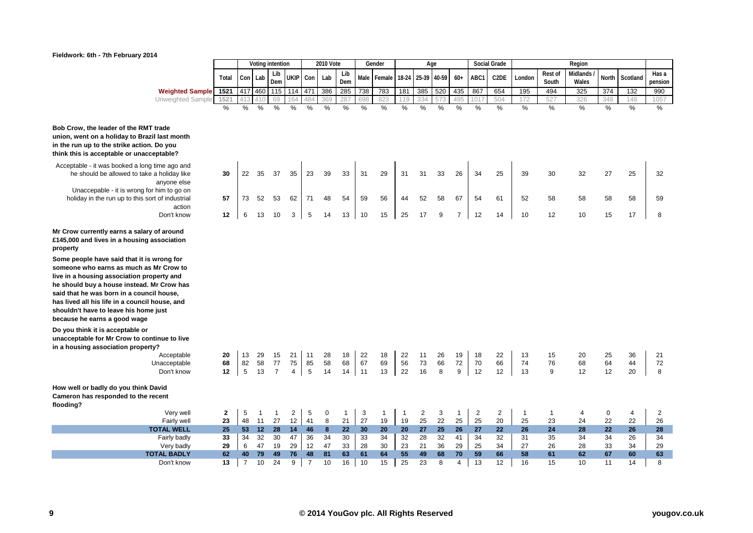

|                                                                                                                                                                                                                                                                                                                                                                                                                                                                                                                                                        |              |                |                 | Voting intention |                |                | <b>2010 Vote</b> |                |     | Gender       |              |                | Age |                |                | <b>Social Grade</b> |              |              | Region   |               |               |         |
|--------------------------------------------------------------------------------------------------------------------------------------------------------------------------------------------------------------------------------------------------------------------------------------------------------------------------------------------------------------------------------------------------------------------------------------------------------------------------------------------------------------------------------------------------------|--------------|----------------|-----------------|------------------|----------------|----------------|------------------|----------------|-----|--------------|--------------|----------------|-----|----------------|----------------|---------------------|--------------|--------------|----------|---------------|---------------|---------|
|                                                                                                                                                                                                                                                                                                                                                                                                                                                                                                                                                        |              |                |                 | Lib              |                |                |                  | Lib            |     |              | 18-24        | 25-39 40-59    |     |                |                |                     |              | Rest of      | Midlands |               |               | Has a   |
|                                                                                                                                                                                                                                                                                                                                                                                                                                                                                                                                                        | Total        |                | Con Lab         | Dem              | <b>UKIP</b>    | Con            | Lab              | Dem            |     | Male Female  |              |                |     | $60+$          | ABC1           | C <sub>2</sub> DE   | London       | South        | Wales    | North         | Scotland      | pension |
| <b>Weighted Sample</b>                                                                                                                                                                                                                                                                                                                                                                                                                                                                                                                                 | 1521         | 417            | 460             | 115              | 114            | 471            | 386              | 285            | 738 | 783          | 181          | 385            | 520 | 435            | 867            | 654                 | 195          | 494          | 325      | 374           | 132           | 990     |
| Unweighted Sample                                                                                                                                                                                                                                                                                                                                                                                                                                                                                                                                      | 1521         |                | 410             | 69               | 164            | 484            | 369              | 287            | 698 | 823          | 119          | 334            | ΄3  | 495            | 101            | 504                 | 172          | 527          | 326      | 348           | 148           | 1057    |
|                                                                                                                                                                                                                                                                                                                                                                                                                                                                                                                                                        | %            | %              | $\frac{0}{0}$   | %                | %              | %              | $\frac{0}{0}$    | %              | %   | %            | %            | %              | %   | %              | $\frac{0}{0}$  | $\frac{0}{0}$       | $\%$         | $\%$         | %        | $\frac{0}{0}$ | $\frac{0}{0}$ | %       |
|                                                                                                                                                                                                                                                                                                                                                                                                                                                                                                                                                        |              |                |                 |                  |                |                |                  |                |     |              |              |                |     |                |                |                     |              |              |          |               |               |         |
| Bob Crow, the leader of the RMT trade                                                                                                                                                                                                                                                                                                                                                                                                                                                                                                                  |              |                |                 |                  |                |                |                  |                |     |              |              |                |     |                |                |                     |              |              |          |               |               |         |
| union, went on a holiday to Brazil last month                                                                                                                                                                                                                                                                                                                                                                                                                                                                                                          |              |                |                 |                  |                |                |                  |                |     |              |              |                |     |                |                |                     |              |              |          |               |               |         |
| in the run up to the strike action. Do you                                                                                                                                                                                                                                                                                                                                                                                                                                                                                                             |              |                |                 |                  |                |                |                  |                |     |              |              |                |     |                |                |                     |              |              |          |               |               |         |
| think this is acceptable or unacceptable?                                                                                                                                                                                                                                                                                                                                                                                                                                                                                                              |              |                |                 |                  |                |                |                  |                |     |              |              |                |     |                |                |                     |              |              |          |               |               |         |
| Acceptable - it was booked a long time ago and                                                                                                                                                                                                                                                                                                                                                                                                                                                                                                         |              |                |                 |                  |                |                |                  |                |     |              |              |                |     |                |                |                     |              |              |          |               |               |         |
| he should be allowed to take a holiday like                                                                                                                                                                                                                                                                                                                                                                                                                                                                                                            | 30           | 22             | 35              | 37               | 35             | 23             | 39               | 33             | 31  | 29           | 31           | 31             | 33  | 26             | 34             | 25                  | 39           | 30           | 32       | 27            | 25            | 32      |
| anyone else                                                                                                                                                                                                                                                                                                                                                                                                                                                                                                                                            |              |                |                 |                  |                |                |                  |                |     |              |              |                |     |                |                |                     |              |              |          |               |               |         |
| Unaccepable - it is wrong for him to go on                                                                                                                                                                                                                                                                                                                                                                                                                                                                                                             |              |                |                 |                  |                |                |                  |                |     |              |              |                |     |                |                |                     |              |              |          |               |               |         |
| holiday in the run up to this sort of industrial                                                                                                                                                                                                                                                                                                                                                                                                                                                                                                       | 57           | 73             | 52              | 53               | 62             | 71             | 48               | 54             | 59  | 56           | 44           | 52             | 58  | 67             | 54             | 61                  | 52           | 58           | 58       | 58            | 58            | 59      |
| action                                                                                                                                                                                                                                                                                                                                                                                                                                                                                                                                                 |              |                |                 |                  |                |                |                  |                |     |              |              |                |     |                |                |                     |              |              |          |               |               |         |
| Don't know                                                                                                                                                                                                                                                                                                                                                                                                                                                                                                                                             | 12           | 6              | 13              | 10               | 3              | 5              | 14               | 13             | 10  | 15           | 25           | 17             | 9   | $\overline{7}$ | 12             | 14                  | 10           | 12           | 10       | 15            | 17            | 8       |
| Mr Crow currently earns a salary of around<br>£145,000 and lives in a housing association<br>property<br>Some people have said that it is wrong for<br>someone who earns as much as Mr Crow to<br>live in a housing association property and<br>he should buy a house instead. Mr Crow has<br>said that he was born in a council house,<br>has lived all his life in a council house, and<br>shouldn't have to leave his home just<br>because he earns a good wage<br>Do you think it is acceptable or<br>unacceptable for Mr Crow to continue to live |              |                |                 |                  |                |                |                  |                |     |              |              |                |     |                |                |                     |              |              |          |               |               |         |
| in a housing association property?                                                                                                                                                                                                                                                                                                                                                                                                                                                                                                                     |              |                |                 |                  |                |                |                  |                |     |              |              |                |     |                |                |                     |              |              |          |               |               |         |
| Acceptable                                                                                                                                                                                                                                                                                                                                                                                                                                                                                                                                             | 20           | 13             | 29              | 15               | 21             | 11             | 28               | 18             | 22  | 18           | 22           | 11             | 26  | 19             | 18             | 22                  | 13           | 15           | 20       | 25            | 36            | 21      |
| Unacceptable                                                                                                                                                                                                                                                                                                                                                                                                                                                                                                                                           | 68           | 82             | 58              | 77               | 75             | 85             | 58               | 68             | 67  | 69           | 56           | 73             | 66  | $72\,$         | 70             | 66                  | 74           | 76           | 68       | 64            | 44            | 72      |
| Don't know                                                                                                                                                                                                                                                                                                                                                                                                                                                                                                                                             | 12           | 5              | 13              | $\overline{7}$   | $\overline{4}$ | 5              | 14               | 14             | 11  | 13           | 22           | 16             | 8   | 9              | 12             | 12                  | 13           | 9            | 12       | 12            | 20            | 8       |
| How well or badly do you think David<br>Cameron has responded to the recent<br>flooding?                                                                                                                                                                                                                                                                                                                                                                                                                                                               |              |                |                 |                  |                |                |                  |                |     |              |              |                |     |                |                |                     |              |              |          |               |               |         |
| Very well                                                                                                                                                                                                                                                                                                                                                                                                                                                                                                                                              | $\mathbf{2}$ | 5              | $\mathbf{1}$    | $\mathbf{1}$     | $\overline{2}$ | 5              | $\mathbf 0$      | $\overline{1}$ | 3   | $\mathbf{1}$ | $\mathbf{1}$ | $\overline{c}$ | 3   | $\overline{1}$ | $\overline{2}$ | $\overline{c}$      | $\mathbf{1}$ | $\mathbf{1}$ | 4        | 0             | 4             | 2       |
| Fairly well                                                                                                                                                                                                                                                                                                                                                                                                                                                                                                                                            | 23           | 48             | 11              | 27               | 12             | 41             | 8                | 21             | 27  | 19           | 19           | 25             | 22  | 25             | 25             | 20                  | 25           | 23           | 24       | 22            | 22            | 26      |
| <b>TOTAL WELL</b>                                                                                                                                                                                                                                                                                                                                                                                                                                                                                                                                      | 25           | 53             | 12 <sup>2</sup> | 28               | 14             | 46             | 8                | 22             | 30  | 20           | 20           | 27             | 25  | 26             | 27             | 22                  | 26           | 24           | 28       | 22            | 26            | 28      |
| Fairly badly                                                                                                                                                                                                                                                                                                                                                                                                                                                                                                                                           | 33           | 34             | 32              | 30               | 47             | 36             | 34               | 30             | 33  | 34           | 32           | 28             | 32  | 41             | 34             | 32                  | 31           | 35           | 34       | 34            | 26            | 34      |
| Very badly                                                                                                                                                                                                                                                                                                                                                                                                                                                                                                                                             | 29           | 6              | 47              | 19               | 29             | 12             | 47               | 33             | 28  | 30           | 23           | 21             | 36  | 29             | 25             | 34                  | 27           | 26           | 28       | 33            | 34            | 29      |
| <b>TOTAL BADLY</b>                                                                                                                                                                                                                                                                                                                                                                                                                                                                                                                                     | 62           | 40             | 79              | 49               | 76             | 48             | 81               | 63             | 61  | 64           | 55           | 49             | 68  | 70             | 59             | 66                  | 58           | 61           | 62       | 67            | 60            | 63      |
| Don't know                                                                                                                                                                                                                                                                                                                                                                                                                                                                                                                                             | 13           | $\overline{7}$ | 10              | 24               | 9              | $\overline{7}$ | 10               | 16             | 10  | 15           | 25           | 23             | 8   | $\overline{4}$ | 13             | 12                  | 16           | 15           | 10       | 11            | 14            | 8       |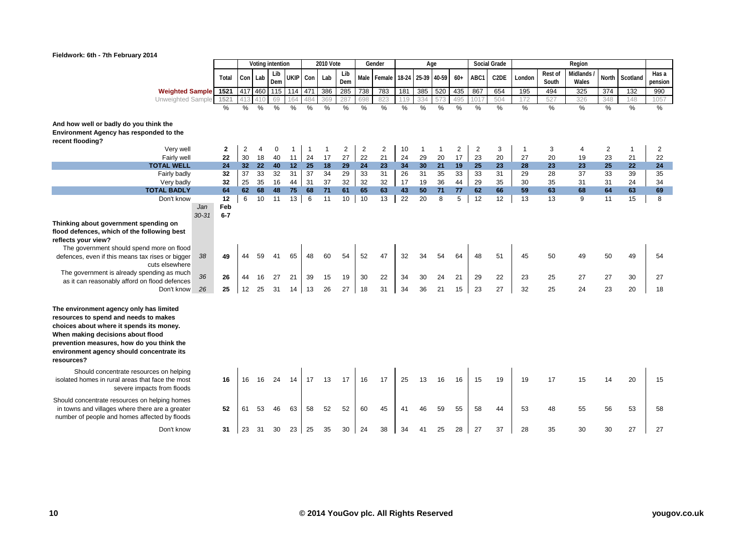

|                                                                                        |                  |                |                |     | Voting intention |             |               | <b>2010 Vote</b> |                 |                | Gender         |                   | Age          |     |                |                | <b>Social Grade</b> |               |         | Region          |       |                |         |
|----------------------------------------------------------------------------------------|------------------|----------------|----------------|-----|------------------|-------------|---------------|------------------|-----------------|----------------|----------------|-------------------|--------------|-----|----------------|----------------|---------------------|---------------|---------|-----------------|-------|----------------|---------|
|                                                                                        |                  | Total          |                |     | Lib              |             |               | Lab              | Lib             |                |                | 18-24 25-39 40-59 |              |     | $60+$          |                | C2DE                | London        | Rest of | <b>Midlands</b> | North |                | Has a   |
|                                                                                        |                  |                | Con Lab        |     | Dem              | <b>UKIP</b> | Con           |                  | Dem             |                | Male Female    |                   |              |     |                | ABC1           |                     |               | South   | Wales           |       | Scotland       | pension |
| Weighted Sample 1521                                                                   |                  |                | 417            | 460 | 115              | 114 471     |               | 386              | 285             | 738            | 783            | 181               | 385          | 520 | 435            | 867            | 654                 | 195           | 494     | 325             | 374   | 132            | 990     |
| Unweighted Sample                                                                      |                  | 1521           |                | 410 | 69               |             |               | 369              | 287             | 698            | 823            | 119               | 334          | 57  | 495            | 101            | 504                 | 172           | 527     | 326             | 348   | 148            | 1057    |
|                                                                                        |                  | $\%$           | %              | %   | %                | %           | $\frac{0}{0}$ | %                | %               | $\%$           | %              | %                 | %            | %   | %              | %              | %                   | $\frac{0}{6}$ | %       | %               | %     | %              | %       |
|                                                                                        |                  |                |                |     |                  |             |               |                  |                 |                |                |                   |              |     |                |                |                     |               |         |                 |       |                |         |
| And how well or badly do you think the<br>Environment Agency has responded to the      |                  |                |                |     |                  |             |               |                  |                 |                |                |                   |              |     |                |                |                     |               |         |                 |       |                |         |
| recent flooding?                                                                       |                  |                |                |     |                  |             |               |                  |                 |                |                |                   |              |     |                |                |                     |               |         |                 |       |                |         |
| Very well                                                                              |                  | 2              | $\overline{2}$ | 4   | $\mathbf 0$      | 1           | -1            | -1               | $\overline{2}$  | $\overline{2}$ | $\overline{2}$ | 10                | $\mathbf{1}$ | -1  | $\overline{2}$ | $\overline{2}$ | 3                   | -1            | 3       | 4               | 2     | $\overline{1}$ | 2       |
| Fairly well                                                                            |                  | 22             | 30             | 18  | 40               | 11          | 24            | 17               | 27              | 22             | 21             | 24                | 29           | 20  | 17             | 23             | 20                  | 27            | 20      | 19              | 23    | 21             | 22      |
| <b>TOTAL WELL</b>                                                                      |                  | 24             | 32             | 22  | 40               | 12          | 25            | 18               | 29              | 24             | 23             | 34                | 30           | 21  | 19             | 25             | 23                  | 28            | 23      | 23              | 25    | 22             | 24      |
| Fairly badly                                                                           |                  | 32             | 37             | 33  | 32               | 31          | 37            | 34               | $\overline{29}$ | 33             | 31             | 26                | 31           | 35  | 33             | 33             | 31                  | 29            | 28      | 37              | 33    | 39             | 35      |
| Very badly                                                                             |                  | 32             | 25             | 35  | 16               | 44          | 31            | 37               | 32              | 32             | 32             | 17                | 19           | 36  | 44             | 29             | 35                  | 30            | 35      | 31              | 31    | 24             | 34      |
| <b>TOTAL BADLY</b>                                                                     |                  | 64             | 62             | 68  | 48               | 75          | 68            | $71$             | 61              | 65             | 63             | 43                | 50           | 71  | 77             | 62             | 66                  | 59            | 63      | 68              | 64    | 63             | 69      |
| Don't know                                                                             |                  | 12             | 6              | 10  | 11               | 13          | 6             | 11               | 10              | 10             | 13             | 22                | 20           | 8   | 5              | 12             | 12                  | 13            | 13      | 9               | 11    | 15             | 8       |
|                                                                                        | Jan<br>$30 - 31$ | Feb<br>$6 - 7$ |                |     |                  |             |               |                  |                 |                |                |                   |              |     |                |                |                     |               |         |                 |       |                |         |
| Thinking about government spending on                                                  |                  |                |                |     |                  |             |               |                  |                 |                |                |                   |              |     |                |                |                     |               |         |                 |       |                |         |
| flood defences, which of the following best                                            |                  |                |                |     |                  |             |               |                  |                 |                |                |                   |              |     |                |                |                     |               |         |                 |       |                |         |
| reflects your view?                                                                    |                  |                |                |     |                  |             |               |                  |                 |                |                |                   |              |     |                |                |                     |               |         |                 |       |                |         |
| The government should spend more on flood                                              |                  |                |                |     |                  |             |               |                  |                 |                |                |                   |              |     |                |                |                     |               |         |                 |       |                |         |
| defences, even if this means tax rises or bigger                                       | 38               | 49             |                | 59  | 41               | 65          | 48            | 60               | 54              | 52             | 47             | 32                | 34           | 54  | 64             | 48             | 51                  | 45            | 50      | 49              | 50    | 49             | 54      |
| cuts elsewhere                                                                         |                  |                |                |     |                  |             |               |                  |                 |                |                |                   |              |     |                |                |                     |               |         |                 |       |                |         |
| The government is already spending as much                                             | 36               | 26             | 44             | 16  | 27               | 21          | 39            | 15               | 19              | 30             | 22             | 34                | 30           | 24  | 21             | 29             | 22                  | 23            | 25      | 27              | 27    | 30             | 27      |
| as it can reasonably afford on flood defences                                          |                  |                |                |     |                  |             |               |                  |                 |                |                |                   |              |     |                |                |                     |               |         |                 |       |                |         |
| Don't know                                                                             | 26               | 25             | 12             | 25  | 31               | 14          | 13            | 26               | 27              | 18             | 31             | 34                | 36           | 21  | 15             | 23             | 27                  | 32            | 25      | 24              | 23    | 20             | 18      |
|                                                                                        |                  |                |                |     |                  |             |               |                  |                 |                |                |                   |              |     |                |                |                     |               |         |                 |       |                |         |
| The environment agency only has limited                                                |                  |                |                |     |                  |             |               |                  |                 |                |                |                   |              |     |                |                |                     |               |         |                 |       |                |         |
| resources to spend and needs to makes                                                  |                  |                |                |     |                  |             |               |                  |                 |                |                |                   |              |     |                |                |                     |               |         |                 |       |                |         |
| choices about where it spends its money.                                               |                  |                |                |     |                  |             |               |                  |                 |                |                |                   |              |     |                |                |                     |               |         |                 |       |                |         |
| When making decisions about flood                                                      |                  |                |                |     |                  |             |               |                  |                 |                |                |                   |              |     |                |                |                     |               |         |                 |       |                |         |
| prevention measures, how do you think the<br>environment agency should concentrate its |                  |                |                |     |                  |             |               |                  |                 |                |                |                   |              |     |                |                |                     |               |         |                 |       |                |         |
| resources?                                                                             |                  |                |                |     |                  |             |               |                  |                 |                |                |                   |              |     |                |                |                     |               |         |                 |       |                |         |
|                                                                                        |                  |                |                |     |                  |             |               |                  |                 |                |                |                   |              |     |                |                |                     |               |         |                 |       |                |         |
| Should concentrate resources on helping                                                |                  | 16             |                |     |                  |             | 17            | 13               | 17              |                | 17             |                   |              |     |                | 15             |                     |               | 17      |                 |       | 20             |         |
| isolated homes in rural areas that face the most                                       |                  |                | 16             | 16  | 24               |             |               |                  |                 | 16             |                | 25                | 13           | 16  | 16             |                | 19                  | 19            |         | 15              | 14    |                | 15      |
| severe impacts from floods                                                             |                  |                |                |     |                  |             |               |                  |                 |                |                |                   |              |     |                |                |                     |               |         |                 |       |                |         |
| Should concentrate resources on helping homes                                          |                  |                |                |     |                  |             |               |                  |                 |                |                |                   |              |     |                |                |                     |               |         |                 |       |                |         |
| in towns and villages where there are a greater                                        |                  | 52             | 61             | 53  | 46               | 63          | 58            | 52               | 52              | 60             | 45             | 41                | 46           | 59  | 55             | 58             | 44                  | 53            | 48      | 55              | 56    | 53             | 58      |
| number of people and homes affected by floods                                          |                  |                |                |     |                  |             |               |                  |                 |                |                |                   |              |     |                |                |                     |               |         |                 |       |                |         |
| Don't know                                                                             |                  | 31             | 23             | 31  | 30               | 23          | 25            | 35               | 30              | 24             | 38             | 34                |              | 25  | 28             | 27             | 37                  | 28            | 35      | 30              | 30    | 27             | 27      |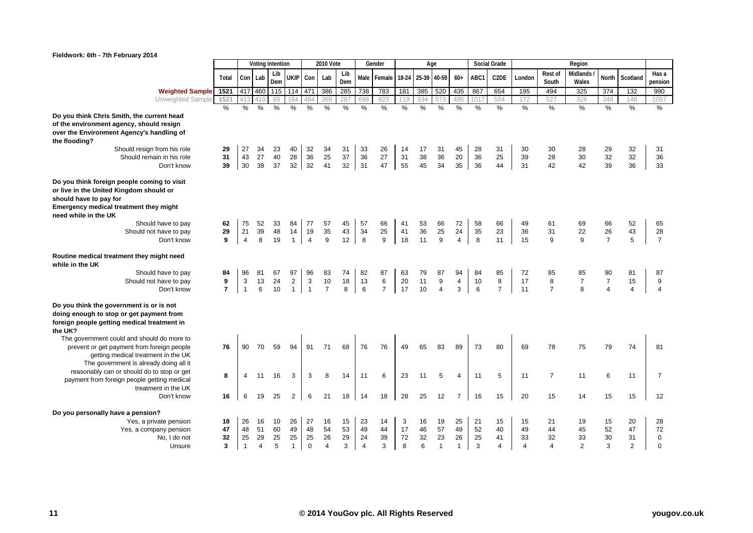

|                                                                  |                |                |                | Voting intention |                |                | <b>2010 Vote</b> |               |                | Gender         |     |     | Age               |                         |               | Social Grade      |               |                | Region         |                |                |                |
|------------------------------------------------------------------|----------------|----------------|----------------|------------------|----------------|----------------|------------------|---------------|----------------|----------------|-----|-----|-------------------|-------------------------|---------------|-------------------|---------------|----------------|----------------|----------------|----------------|----------------|
|                                                                  |                |                |                |                  |                |                |                  |               |                |                |     |     |                   |                         |               |                   |               |                |                |                |                |                |
|                                                                  | Total          | Con            | Lab            | Lib<br>Dem       | <b>UKIP</b>    | Con            | Lab              | Lib<br>Dem    | Male           | Female         |     |     | 18-24 25-39 40-59 | $60+$                   | ABC1          | C <sub>2</sub> DE | London        | Rest of        | Midlands       | North          | Scotland       | Has a          |
|                                                                  |                |                |                |                  |                |                |                  |               |                |                |     |     |                   |                         |               |                   |               | South          | Wales          |                |                | pension        |
| <b>Weighted Sample</b>                                           | 1521           | 417            | 460            | 115              | 114            | 471            | 386              | 285           | 738            | 783            | 181 | 385 | 520               | 435                     | 867           | 654               | 195           | 494            | 325            | 374            | 132            | 990            |
| <b>Unweighted Sample</b>                                         | 1521           | 413            |                | 69               | 64             | 484            | 369              | 287           | 698            | 823            | 119 | 334 |                   | 495                     | 101           | 504               | 172           | 527            | 326            | 348            | 148            | 1057           |
|                                                                  | $\frac{0}{2}$  | %              | %              | %                | %              | %              | %                | $\frac{0}{0}$ | $\frac{0}{2}$  | $\frac{0}{0}$  | %   | %   | %                 | %                       | $\frac{9}{6}$ | %                 | $\frac{0}{0}$ | $\%$           | %              | %              | %              | $\frac{0}{0}$  |
| Do you think Chris Smith, the current head                       |                |                |                |                  |                |                |                  |               |                |                |     |     |                   |                         |               |                   |               |                |                |                |                |                |
| of the environment agency, should resign                         |                |                |                |                  |                |                |                  |               |                |                |     |     |                   |                         |               |                   |               |                |                |                |                |                |
| over the Environment Agency's handling of                        |                |                |                |                  |                |                |                  |               |                |                |     |     |                   |                         |               |                   |               |                |                |                |                |                |
| the flooding?                                                    |                |                |                |                  |                |                |                  |               |                |                |     |     |                   |                         |               |                   |               |                |                |                |                |                |
| Should resign from his role                                      | 29             | 27             | 34             | 23               | 40             | 32             | 34               | 31            | 33             | 26             | 14  | 17  | 31                | 45                      | 28            | 31                | 30            | 30             | 28             | 29             | 32             | 31             |
| Should remain in his role                                        | 31             | 43             | 27             | 40               | 28             | 36             | 25               | 37            | 36             | 27             | 31  | 38  | 36                | 20                      | 36            | 25                | 39            | 28             | 30             | 32             | 32             | 36             |
| Don't know                                                       | 39             | 30             | 39             | 37               | 32             | 32             | 41               | 32            | 31             | 47             | 55  | 45  | 34                | 35                      | 36            | 44                | 31            | 42             | 42             | 39             | 36             | 33             |
| Do you think foreign people coming to visit                      |                |                |                |                  |                |                |                  |               |                |                |     |     |                   |                         |               |                   |               |                |                |                |                |                |
|                                                                  |                |                |                |                  |                |                |                  |               |                |                |     |     |                   |                         |               |                   |               |                |                |                |                |                |
| or live in the United Kingdom should or                          |                |                |                |                  |                |                |                  |               |                |                |     |     |                   |                         |               |                   |               |                |                |                |                |                |
| should have to pay for<br>Emergency medical treatment they might |                |                |                |                  |                |                |                  |               |                |                |     |     |                   |                         |               |                   |               |                |                |                |                |                |
| need while in the UK                                             |                |                |                |                  |                |                |                  |               |                |                |     |     |                   |                         |               |                   |               |                |                |                |                |                |
| Should have to pay                                               | 62             | 75             | 52             | 33               | 84             | 77             | 57               | 45            | 57             | 66             | 41  | 53  | 66                | 72                      | 58            | 66                | 49            | 61             | 69             | 66             | 52             | 65             |
| Should not have to pay                                           | 29             | 21             | 39             | 48               | 14             | 19             | 35               | 43            | 34             | 25             | 41  | 36  | 25                | 24                      | 35            | 23                | 36            | 31             | 22             | 26             | 43             | 28             |
| Don't know                                                       | 9              | $\overline{4}$ | 8              | 19               | $\mathbf{1}$   | $\overline{4}$ | 9                | 12            | 8              | 9              | 18  | 11  | 9                 | 4                       | 8             | 11                | 15            | 9              | 9              | $\overline{7}$ | 5              | $\overline{7}$ |
|                                                                  |                |                |                |                  |                |                |                  |               |                |                |     |     |                   |                         |               |                   |               |                |                |                |                |                |
| Routine medical treatment they might need                        |                |                |                |                  |                |                |                  |               |                |                |     |     |                   |                         |               |                   |               |                |                |                |                |                |
| while in the UK                                                  |                |                |                |                  |                |                |                  |               |                |                |     |     |                   |                         |               |                   |               |                |                |                |                |                |
| Should have to pay                                               | 84             | 96             | 81             | 67               | 97             | 96             | 83               | 74            | 82             | 87             | 63  | 79  | 87                | 94                      | 84            | 85                | 72            | 85             | 85             | 90             | 81             | 87             |
| Should not have to pay                                           | 9              | 3              | 13             | 24               | $\overline{2}$ | 3              | 10               | 18            | 13             | 6              | 20  | 11  | 9                 | $\overline{\mathbf{4}}$ | 10            | 8                 | 17            | 8              | $\overline{7}$ | $\overline{7}$ | 15             | 9              |
| Don't know                                                       | $\overline{7}$ | $\mathbf{1}$   | 6              | 10               | $\mathbf{1}$   | $\mathbf{1}$   | $\overline{7}$   | 8             | $\,6\,$        | $\overline{7}$ | 17  | 10  | $\overline{4}$    | 3                       | 6             | $\overline{7}$    | 11            | $\overline{7}$ | 8              | $\overline{4}$ | 4              | $\overline{4}$ |
|                                                                  |                |                |                |                  |                |                |                  |               |                |                |     |     |                   |                         |               |                   |               |                |                |                |                |                |
| Do you think the government is or is not                         |                |                |                |                  |                |                |                  |               |                |                |     |     |                   |                         |               |                   |               |                |                |                |                |                |
| doing enough to stop or get payment from                         |                |                |                |                  |                |                |                  |               |                |                |     |     |                   |                         |               |                   |               |                |                |                |                |                |
| foreign people getting medical treatment in                      |                |                |                |                  |                |                |                  |               |                |                |     |     |                   |                         |               |                   |               |                |                |                |                |                |
| the UK?                                                          |                |                |                |                  |                |                |                  |               |                |                |     |     |                   |                         |               |                   |               |                |                |                |                |                |
| The government could and should do more to                       |                |                |                |                  |                |                |                  |               |                |                |     |     |                   |                         |               |                   |               |                |                |                |                |                |
| prevent or get payment from foreign people                       | 76             | 90             | 70             | 59               | 94             | 91             | 71               | 68            | 76             | 76             | 49  | 65  | 83                | 89                      | 73            | 80                | 69            | 78             | 75             | 79             | 74             | 81             |
| getting medical treatment in the UK                              |                |                |                |                  |                |                |                  |               |                |                |     |     |                   |                         |               |                   |               |                |                |                |                |                |
| The government is already doing all it                           |                |                |                |                  |                |                |                  |               |                |                |     |     |                   |                         |               |                   |               |                |                |                |                |                |
| reasonably can or should do to stop or get                       | 8              | 4              | 11             | 16               | 3              | 3              | 8                | 14            | 11             | 6              | 23  | 11  | 5                 | 4                       | 11            | 5                 | 11            | $\overline{7}$ | 11             | 6              | 11             | $\overline{7}$ |
| payment from foreign people getting medical                      |                |                |                |                  |                |                |                  |               |                |                |     |     |                   |                         |               |                   |               |                |                |                |                |                |
| treatment in the UK                                              |                |                |                |                  |                |                |                  |               |                |                |     |     |                   |                         |               |                   |               |                |                |                |                |                |
| Don't know                                                       | 16             | 6              | 19             | 25               | $\overline{2}$ | 6              | 21               | 18            | 14             | 18             | 28  | 25  | 12                | $\overline{7}$          | 16            | 15                | 20            | 15             | 14             | 15             | 15             | 12             |
| Do you personally have a pension?                                |                |                |                |                  |                |                |                  |               |                |                |     |     |                   |                         |               |                   |               |                |                |                |                |                |
| Yes, a private pension                                           | 18             | 26             | 16             | 10               | 26             | 27             | 16               | 15            | 23             | 14             | 3   | 16  | 19                | 25                      | 21            | 15                | 15            | 21             | 19             | 15             | 20             | 28             |
| Yes, a company pension                                           | 47             | 48             | 51             | 60               | 49             | 48             | 54               | 53            | 49             | 44             | 17  | 46  | 57                | 49                      | 52            | 40                | 49            | 44             | 45             | 52             | 47             | 72             |
| No, I do not                                                     | 32             | 25             | 29             | 25               | 25             | 25             | 26               | 29            | 24             | 39             | 72  | 32  | 23                | 26                      | 25            | 41                | 33            | 32             | 33             | 30             | 31             | $\mathbf 0$    |
| Unsure                                                           | 3              | $\mathbf{1}$   | $\overline{4}$ | 5                | $\mathbf{1}$   | $\mathbf 0$    | $\overline{4}$   | 3             | $\overline{4}$ | 3              | 8   | 6   | $\mathbf{1}$      | $\mathbf{1}$            | 3             | 4                 | 4             | $\overline{4}$ | 2              | 3              | $\overline{2}$ | $\Omega$       |
|                                                                  |                |                |                |                  |                |                |                  |               |                |                |     |     |                   |                         |               |                   |               |                |                |                |                |                |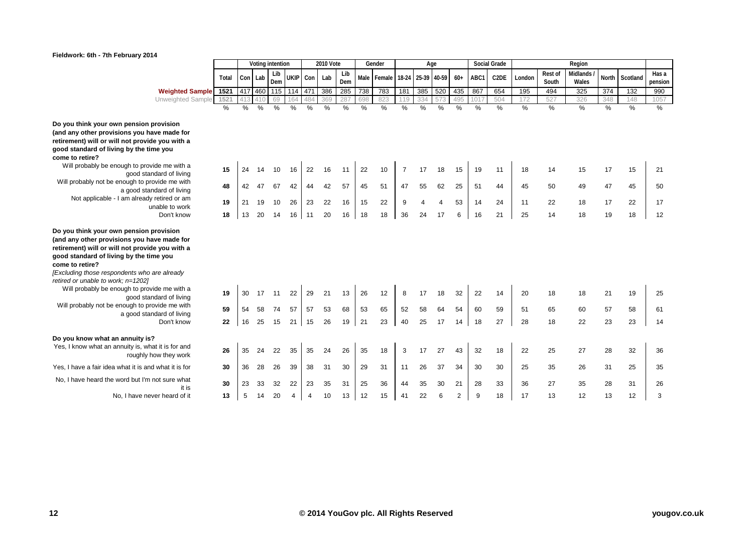

|                                                            |       |     |         | Voting intention |                     |          | 2010 Vote |     |     | Gender      |                |                       | Age |       |      | <b>Social Grade</b> |        |         | Region   |       |          |         |
|------------------------------------------------------------|-------|-----|---------|------------------|---------------------|----------|-----------|-----|-----|-------------|----------------|-----------------------|-----|-------|------|---------------------|--------|---------|----------|-------|----------|---------|
|                                                            |       |     |         | Lib              |                     |          |           | Lib |     |             |                |                       |     |       |      |                     |        | Rest of | Midlands |       |          | Has a   |
|                                                            | Total |     | Con Lab | Dem              |                     | UKIP Con | Lab       | Dem |     | Male Female |                | 18-24 25-39 40-59     |     | $60+$ | ABC1 | C2DE                | London | South   | Wales    | North | Scotland | pension |
| <b>Weighted Sample</b> 1521                                |       |     |         |                  | 417 460 115 114 471 |          | 386       | 285 | 738 | 783         | 181            | 385                   | 520 | 435   | 867  | 654                 | 195    | 494     | 325      | 374   | 132      | 990     |
| Unweighted Sample                                          | 1521  | 413 | 410     | 69               | 164                 | 484      | 369       | 287 | 698 | 823         | 119            | 334                   | 57  | 495   | 101  | 504                 | 172    | 527     | 326      | 348   | 148      | 1057    |
|                                                            | $\%$  | %   | %       | %                | %                   | %        | %         | %   | %   | %           | %              | %                     | %   | %     | %    | %                   | %      | %       | %        | %     | %        | %       |
|                                                            |       |     |         |                  |                     |          |           |     |     |             |                |                       |     |       |      |                     |        |         |          |       |          |         |
| Do you think your own pension provision                    |       |     |         |                  |                     |          |           |     |     |             |                |                       |     |       |      |                     |        |         |          |       |          |         |
| (and any other provisions you have made for                |       |     |         |                  |                     |          |           |     |     |             |                |                       |     |       |      |                     |        |         |          |       |          |         |
| retirement) will or will not provide you with a            |       |     |         |                  |                     |          |           |     |     |             |                |                       |     |       |      |                     |        |         |          |       |          |         |
| good standard of living by the time you<br>come to retire? |       |     |         |                  |                     |          |           |     |     |             |                |                       |     |       |      |                     |        |         |          |       |          |         |
| Will probably be enough to provide me with a               |       |     |         |                  |                     |          |           |     |     |             |                |                       |     |       |      |                     |        |         |          |       |          |         |
| good standard of living                                    | 15    | 24  | 14      | 10               | 16                  | 22       | 16        | 11  | 22  | 10          | $\overline{7}$ | 17                    | 18  | 15    | 19   | 11                  | 18     | 14      | 15       | 17    | 15       | 21      |
| Will probably not be enough to provide me with             |       |     |         |                  |                     |          |           |     |     |             |                |                       |     |       |      |                     |        |         |          |       |          |         |
| a good standard of living                                  | 48    | 42  | 47      | 67               | 42                  | 44       | 42        | 57  | 45  | 51          | 47             | 55                    | 62  | 25    | 51   | 44                  | 45     | 50      | 49       | 47    | 45       | 50      |
| Not applicable - I am already retired or am                |       |     |         |                  |                     |          |           |     |     |             |                |                       |     |       |      |                     |        |         |          |       |          |         |
| unable to work                                             | 19    | 21  | 19      | 10               | 26                  | 23       | 22        | 16  | 15  | 22          | 9              | $\boldsymbol{\Delta}$ | 4   | 53    | 14   | 24                  | 11     | 22      | 18       | 17    | 22       | 17      |
| Don't know                                                 | 18    | 13  | 20      | 14               | 16                  | 11       | 20        | 16  | 18  | 18          | 36             | 24                    | 17  | 6     | 16   | 21                  | 25     | 14      | 18       | 19    | 18       | 12      |
|                                                            |       |     |         |                  |                     |          |           |     |     |             |                |                       |     |       |      |                     |        |         |          |       |          |         |
| Do you think your own pension provision                    |       |     |         |                  |                     |          |           |     |     |             |                |                       |     |       |      |                     |        |         |          |       |          |         |
| (and any other provisions you have made for                |       |     |         |                  |                     |          |           |     |     |             |                |                       |     |       |      |                     |        |         |          |       |          |         |
| retirement) will or will not provide you with a            |       |     |         |                  |                     |          |           |     |     |             |                |                       |     |       |      |                     |        |         |          |       |          |         |
| good standard of living by the time you<br>come to retire? |       |     |         |                  |                     |          |           |     |     |             |                |                       |     |       |      |                     |        |         |          |       |          |         |
| [Excluding those respondents who are already               |       |     |         |                  |                     |          |           |     |     |             |                |                       |     |       |      |                     |        |         |          |       |          |         |
| retired or unable to work; n=1202]                         |       |     |         |                  |                     |          |           |     |     |             |                |                       |     |       |      |                     |        |         |          |       |          |         |
| Will probably be enough to provide me with a               |       |     |         |                  |                     |          |           |     |     |             |                |                       |     |       |      |                     |        |         |          |       |          |         |
| good standard of living                                    | 19    | 30  | 17      | 11               | 22                  | 29       | 21        | 13  | 26  | 12          | 8              | 17                    | 18  | 32    | 22   | 14                  | 20     | 18      | 18       | 21    | 19       | 25      |
| Will probably not be enough to provide me with             | 59    | 54  | 58      | 74               | 57                  | 57       | 53        | 68  | 53  | 65          | 52             | 58                    | 64  | 54    | 60   | 59                  | 51     | 65      | 60       | 57    | 58       | 61      |
| a good standard of living                                  |       |     |         |                  |                     |          |           |     |     |             |                |                       |     |       |      |                     |        |         |          |       |          |         |
| Don't know                                                 | 22    | 16  | 25      | 15               | 21                  | 15       | 26        | 19  | 21  | 23          | 40             | 25                    | 17  | 14    | 18   | 27                  | 28     | 18      | 22       | 23    | 23       | 14      |
| Do you know what an annuity is?                            |       |     |         |                  |                     |          |           |     |     |             |                |                       |     |       |      |                     |        |         |          |       |          |         |
| Yes, I know what an annuity is, what it is for and         |       |     |         |                  |                     |          |           |     |     |             |                |                       |     |       |      |                     |        |         |          |       |          |         |
| roughly how they work                                      | 26    | 35  | 24      | 22               | 35                  | 35       | 24        | 26  | 35  | 18          | 3              | 17                    | 27  | 43    | 32   | 18                  | 22     | 25      | 27       | 28    | 32       | 36      |
|                                                            |       |     |         |                  |                     |          |           |     |     |             |                |                       |     |       |      |                     |        |         |          |       |          |         |
| Yes. I have a fair idea what it is and what it is for      | 30    | 36  | 28      | 26               | 39                  | 38       | 31        | 30  | 29  | 31          | 11             | 26                    | 37  | 34    | 30   | 30                  | 25     | 35      | 26       | 31    | 25       | 35      |
| No, I have heard the word but I'm not sure what            | 30    |     |         | 32               | 22                  | 23       | 35        | 31  | 25  | 36          |                | 35                    | 30  |       | 28   |                     |        |         |          |       |          |         |
| it is                                                      |       | 23  | 33      |                  |                     |          |           |     |     |             | 44             |                       |     | 21    |      | 33                  | 36     | 27      | 35       | 28    | 31       | 26      |
| No, I have never heard of it                               | 13    | 5   | 14      | 20               | 4                   | 4        | 10        | 13  | 12  | 15          | 41             | 22                    | 6   | 2     | 9    | 18                  | 17     | 13      | 12       | 13    | 12       | 3       |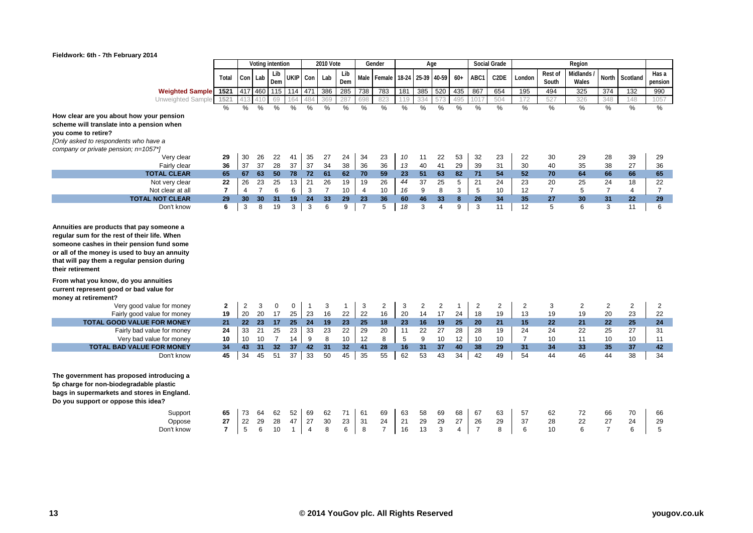

|                                                                                                                                                                                                                                                                          |                |                 |                 | Voting intention |               |                | <b>2010 Vote</b> |               |                | Gender                        |               |                | Age            |                |                | <b>Social Grade</b> |                |                | Region        |                |                  |                |
|--------------------------------------------------------------------------------------------------------------------------------------------------------------------------------------------------------------------------------------------------------------------------|----------------|-----------------|-----------------|------------------|---------------|----------------|------------------|---------------|----------------|-------------------------------|---------------|----------------|----------------|----------------|----------------|---------------------|----------------|----------------|---------------|----------------|------------------|----------------|
|                                                                                                                                                                                                                                                                          |                |                 |                 | Lib              |               |                |                  | Lib           |                |                               |               |                |                |                |                |                     |                | Rest of        | Midlands      |                |                  | Has a          |
|                                                                                                                                                                                                                                                                          | Total          | Con Lab         |                 | Dem              | UKIP Con      |                | Lab              | Dem           |                | Male Female 18-24 25-39 40-59 |               |                |                | $60+$          | ABC1           | C <sub>2</sub> DE   | London         | South          | Wales         | North          | Scotland         | pension        |
| <b>Weighted Sample</b>                                                                                                                                                                                                                                                   | 1521           | 417 460         |                 | 115              | 114           | 471            | 386              | 285           | 738            | 783                           | 181           | 385            | 520            | 435            | 867            | 654                 | 195            | 494            | 325           | 374            | 132              | 990            |
| Unweighted Sample                                                                                                                                                                                                                                                        | 1521           |                 | 410             | 69               | 164           | 484            | 369              | 287           |                | 823                           | 119           |                |                | 495            | 101            | 504                 | 172            | 527            | 326           | 348            | 148              | 1057           |
|                                                                                                                                                                                                                                                                          | $\frac{0}{6}$  | $\frac{0}{2}$   | $\frac{0}{0}$   | $\%$             | $\frac{0}{0}$ | $\%$           | $\frac{0}{0}$    | $\frac{0}{2}$ | $\%$           | $\frac{9}{6}$                 | $\frac{9}{6}$ | $\frac{0}{2}$  | $\frac{0}{0}$  | $\frac{0}{2}$  | $\frac{0}{0}$  | $\%$                | $\frac{0}{2}$  | $\frac{9}{6}$  | $\frac{0}{2}$ | $\frac{9}{6}$  | $\frac{9}{6}$    | $\frac{9}{6}$  |
| How clear are you about how your pension                                                                                                                                                                                                                                 |                |                 |                 |                  |               |                |                  |               |                |                               |               |                |                |                |                |                     |                |                |               |                |                  |                |
| scheme will translate into a pension when                                                                                                                                                                                                                                |                |                 |                 |                  |               |                |                  |               |                |                               |               |                |                |                |                |                     |                |                |               |                |                  |                |
| you come to retire?                                                                                                                                                                                                                                                      |                |                 |                 |                  |               |                |                  |               |                |                               |               |                |                |                |                |                     |                |                |               |                |                  |                |
| [Only asked to respondents who have a                                                                                                                                                                                                                                    |                |                 |                 |                  |               |                |                  |               |                |                               |               |                |                |                |                |                     |                |                |               |                |                  |                |
| company or private pension; n=1057*]                                                                                                                                                                                                                                     |                |                 |                 |                  |               |                |                  |               |                |                               |               |                |                |                |                |                     |                |                |               |                |                  |                |
| Very clear                                                                                                                                                                                                                                                               | 29             | 30              | 26              | 22               | 41            | 35             | 27               | 24            | 34             | 23                            | 10            | 11             | 22             | 53             | 32             | 23                  | 22             | 30             | 29            | 28             | 39               | 29             |
| Fairly clear                                                                                                                                                                                                                                                             | 36             | 37              | 37              | 28               | 37            | 37             | 34               | 38            | 36             | 36                            | 13            | 40             | 41             | 29             | 39             | 31                  | 30             | 40             | 35            | 38             | 27               | 36             |
| <b>TOTAL CLEAR</b>                                                                                                                                                                                                                                                       | 65             | 67              | 63              | 50               | 78            | 72             | 61               | 62            | 70             | 59                            | 23            | 51             | 63             | 82             | 71             | 54                  | 52             | 70             | 64            | 66             | 66               | 65             |
| Not very clear                                                                                                                                                                                                                                                           | 22             | 26              | 23              | 25               | 13            | 21             | 26               | 19            | 19             | 26                            | 44            | 37             | 25             | 5              | 21             | 24                  | 23             | 20             | 25            | 24             | 18               | 22             |
| Not clear at all                                                                                                                                                                                                                                                         | $\overline{7}$ | $\overline{4}$  | $\overline{7}$  | 6                | 6             | 3              | $\overline{7}$   | 10            | 4              | 10                            | 16            | 9              | 8              | 3              | 5              | 10                  | 12             | $\overline{7}$ | 5             | $\overline{7}$ | 4                | $\overline{7}$ |
| <b>TOTAL NOT CLEAR</b>                                                                                                                                                                                                                                                   | 29             | 30              | 30 <sup>°</sup> | 31               | 19            | 24             | 33               | 29            | 23             | 36                            | 60            | 46             | 33             | 8              | 26             | 34                  | 35             | 27             | 30            | 31             | 22               | 29             |
| Don't know                                                                                                                                                                                                                                                               | 6              | 3               | 8               | 19               | 3             | 3              | 6                | 9             | $\overline{7}$ | 5                             | 18            | 3              | $\overline{4}$ | 9              | 3              | 11                  | 12             | 5              | 6             | 3              | 11               | 6              |
| someone cashes in their pension fund some<br>or all of the money is used to buy an annuity<br>that will pay them a regular pension during<br>their retirement<br>From what you know, do you annuities<br>current represent good or bad value for<br>money at retirement? |                |                 |                 |                  |               |                |                  |               |                |                               |               |                |                |                |                |                     |                |                |               |                |                  |                |
| Very good value for money                                                                                                                                                                                                                                                | $\mathbf{2}$   | 2               | 3               | $\mathbf 0$      | 0             | -1             | 3                | 1             | 3              | $\overline{2}$                | 3             | $\overline{2}$ | 2              | $\mathbf{1}$   | $\overline{2}$ | $\overline{c}$      | 2              | 3              | 2             | 2              | $\overline{2}$   | 2              |
| Fairly good value for money                                                                                                                                                                                                                                              | 19             | 20              | 20              | 17               | 25            | 23             | 16               | 22            | 22             | 16                            | 20            | 14             | 17             | 24             | 18             | 19                  | 13             | 19             | 19            | 20             | 23               | 22             |
| <b>TOTAL GOOD VALUE FOR MONEY</b>                                                                                                                                                                                                                                        | 21             | 22 <sub>2</sub> | 23              | 17               | 25            | 24             | 19               | 23            | 25             | 18                            | 23            | 16             | 19             | 25             | 20             | 21                  | 15             | 22             | 21            | 22             | 25               | 24             |
| Fairly bad value for money                                                                                                                                                                                                                                               | 24             | 33              | 21              | 25               | 23            | 33             | 23               | 22            | 29             | 20                            | 11            | 22             | 27             | 28             | 28             | 19                  | 24             | 24             | 22            | 25             | 27               | 31             |
| Very bad value for money                                                                                                                                                                                                                                                 | 10             | 10              | 10              | $\overline{7}$   | 14            | 9              | 8                | 10            | 12             | 8                             | 5             | 9              | 10             | 12             | 10             | 10                  | $\overline{7}$ | 10             | 11            | 10             | 10 <sup>10</sup> | 11             |
| <b>TOTAL BAD VALUE FOR MONEY</b>                                                                                                                                                                                                                                         | 34             | 43              | 31              | 32               | 37            | 42             | 31               | 32            | 41             | 28                            | 16            | 31             | 37             | 40             | 38             | 29                  | 31             | 34             | 33            | 35             | 37               | 42             |
| Don't know                                                                                                                                                                                                                                                               | 45             | 34              | 45              | 51               | 37            | 33             | 50               | 45            | 35             | 55                            | 62            | 53             | 43             | 34             | 42             | 49                  | 54             | 44             | 46            | 44             | 38               | 34             |
| The government has proposed introducing a<br>5p charge for non-biodegradable plastic<br>bags in supermarkets and stores in England.<br>Do you support or oppose this idea?<br>Support                                                                                    | 65             | 73              | 64              | 62               | 52            | 69             | 62               | 71            | 61             | 69                            | 63            | 58             | 69             | 68             | 67             | 63                  | 57             | 62             | 72            | 66             | 70               | 66             |
| Oppose                                                                                                                                                                                                                                                                   | 27             | 22              | 29              | 28               | 47            | 27             | 30               | 23            | 31             | 24                            | 21            | 29             | 29             | 27             | 26             | 29                  | 37             | 28             | 22            | 27             | 24               | 29             |
| Don't know                                                                                                                                                                                                                                                               | $\overline{7}$ | 5               | 6               | 10               | $\mathbf{1}$  | $\overline{4}$ | 8                | 6             | 8              | $\overline{7}$                | 16            | 13             | 3              | $\overline{4}$ | $\overline{7}$ | 8                   | 6              | 10             | 6             | $\overline{7}$ | 6                | 5              |